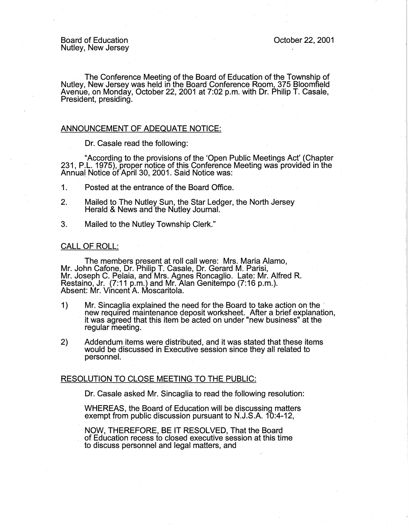Board of Education Nutley, New Jersey

The Conference Meeting of the Board of Education of the Township of Nutley, New Jersey was held in the Board Conference Room, 375 Bloomfield Avenue, on Monday, October 22, 2001 at 7:02 p.m. with Dr. Philip T. Casale, President, presiding.

## ANNOUNCEMENT OF ADEQUATE NOTICE:

Dr. Casale read the following:

"According to the provisions of the 'Open Public Meetings Act' (Chapter 231, P.L. 1975), proper notice of this Conference Meeting was provided in the Annual Notice of April 30, 2001. Said Notice was:

- 1. Posted at the entrance of the Board Office.
- 2. Mailed to The Nutley Sun, the Star Ledger, the North Jersey Herald & News and the Nutley Journal.
- 3. Mailed to the Nutley Township Clerk."

## CALL OF ROLL:

The members present at roll call were: Mrs. Maria Alamo, Mr. John Cafone, Dr. Philip T. Casale, Dr. Gerard M. Parisi, Mr. Joseph C. Pelaia, and Mrs. Agnes Roncaglio. Late: Mr. Alfred R. Restaino, Jr. (7:11 p.m.) and Mr. Alan Genitempo (7:16 p.m.). Absent: Mr. Vincent A. Moscaritola.

- 1) Mr. Sincaglia explained the need for the Board to take action on the , new required maintenance deposit worksheet. After a brief explanation, it was agreed that this item be acted on under "new business" at the regular meeting.
- 2) Addendum items were distributed, and it was stated that these items would be discussed in Executive session since they all related to personnel.

## RESOLUTION TO CLOSE MEETING TO THE PUBLIC:

Dr. Casale asked Mr. Sincaglia to read the following resolution:

WHEREAS, the Board of Education will be discussing matters exempt from public discussion pursuant to N.J.S.A. 10:4-12,

NOW, THEREFORE, BE IT RESOLVED, That the Board of Education recess to closed executive session at this time to discuss personnel and legal matters, and